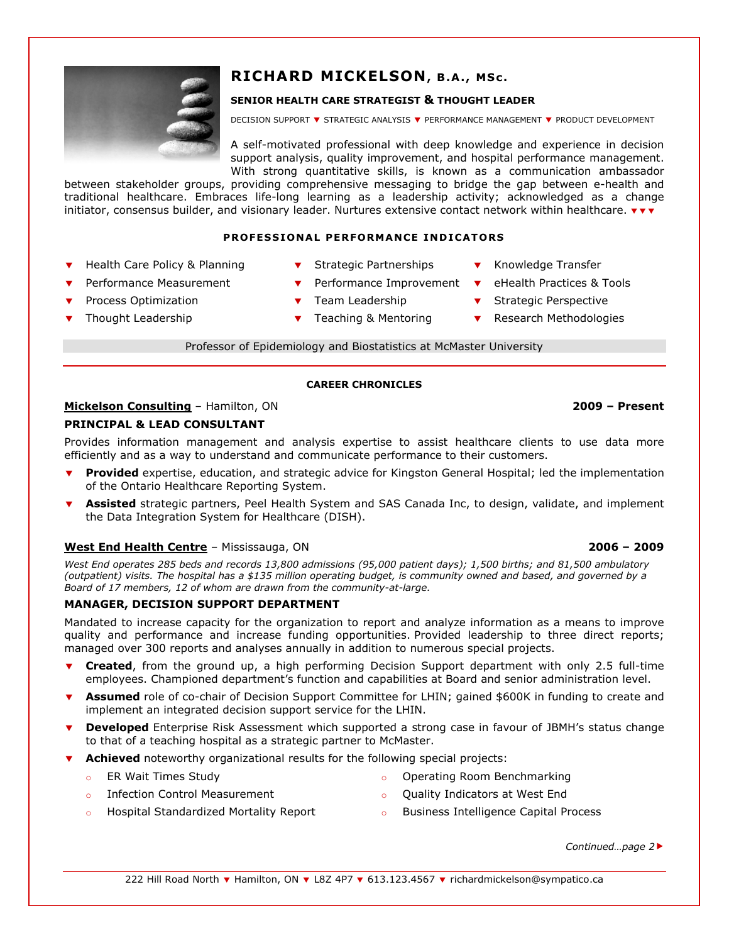

# RICHARD MICKELSON, B.A., MSc.

# SENIOR HEALTH CARE STRATEGIST & THOUGHT LEADER

DECISION SUPPORT **v** STRATEGIC ANALYSIS **v** PERFORMANCE MANAGEMENT **v** PRODUCT DEVELOPMENT

A self-motivated professional with deep knowledge and experience in decision support analysis, quality improvement, and hospital performance management. With strong quantitative skills, is known as a communication ambassador

between stakeholder groups, providing comprehensive messaging to bridge the gap between e-health and traditional healthcare. Embraces life-long learning as a leadership activity; acknowledged as a change initiator, consensus builder, and visionary leader. Nurtures extensive contact network within healthcare.  $\mathbf{v}\cdot\mathbf{v}$ 

## PROFESSIONAL PERFORMANCE INDICATORS

- Health Care Policy & Planning  $\bullet$  Strategic Partnerships  $\bullet$  Knowledge Transfer
	-
	- Performance Measurement **v** Performance Improvement **v** eHealth Practices & Tools
- Process Optimization  $\bullet$  Team Leadership  $\bullet$  Strategic Perspective
- 
- 
- 
- Thought Leadership  $\bullet$  Teaching & Mentoring  $\bullet$  Research Methodologies

Professor of Epidemiology and Biostatistics at McMaster University

## CAREER CHRONICLES

# Mickelson Consulting – Hamilton, ON 2009 – Present

# PRINCIPAL & LEAD CONSULTANT

Provides information management and analysis expertise to assist healthcare clients to use data more efficiently and as a way to understand and communicate performance to their customers.

- Provided expertise, education, and strategic advice for Kingston General Hospital; led the implementation of the Ontario Healthcare Reporting System.
- Assisted strategic partners, Peel Health System and SAS Canada Inc, to design, validate, and implement the Data Integration System for Healthcare (DISH).

## West End Health Centre – Mississauga, ON 2006 – 2009

West End operates 285 beds and records 13,800 admissions (95,000 patient days); 1,500 births; and 81,500 ambulatory (outpatient) visits. The hospital has a \$135 million operating budget, is community owned and based, and governed by a Board of 17 members, 12 of whom are drawn from the community-at-large.

# MANAGER, DECISION SUPPORT DEPARTMENT

Mandated to increase capacity for the organization to report and analyze information as a means to improve quality and performance and increase funding opportunities. Provided leadership to three direct reports; managed over 300 reports and analyses annually in addition to numerous special projects.

- Created, from the ground up, a high performing Decision Support department with only 2.5 full-time employees. Championed department's function and capabilities at Board and senior administration level.
- Assumed role of co-chair of Decision Support Committee for LHIN; gained \$600K in funding to create and implement an integrated decision support service for the LHIN.
- Developed Enterprise Risk Assessment which supported a strong case in favour of JBMH's status change to that of a teaching hospital as a strategic partner to McMaster.
- Achieved noteworthy organizational results for the following special projects:
	-
	- o ER Wait Times Study **o Containers** Containers a Departing Room Benchmarking
	- Infection Control Measurement **our Control Control Measurement** of Quality Indicators at West End
- - Hospital Standardized Mortality Report **o** Business Intelligence Capital Process
- - Continued...page 2▶

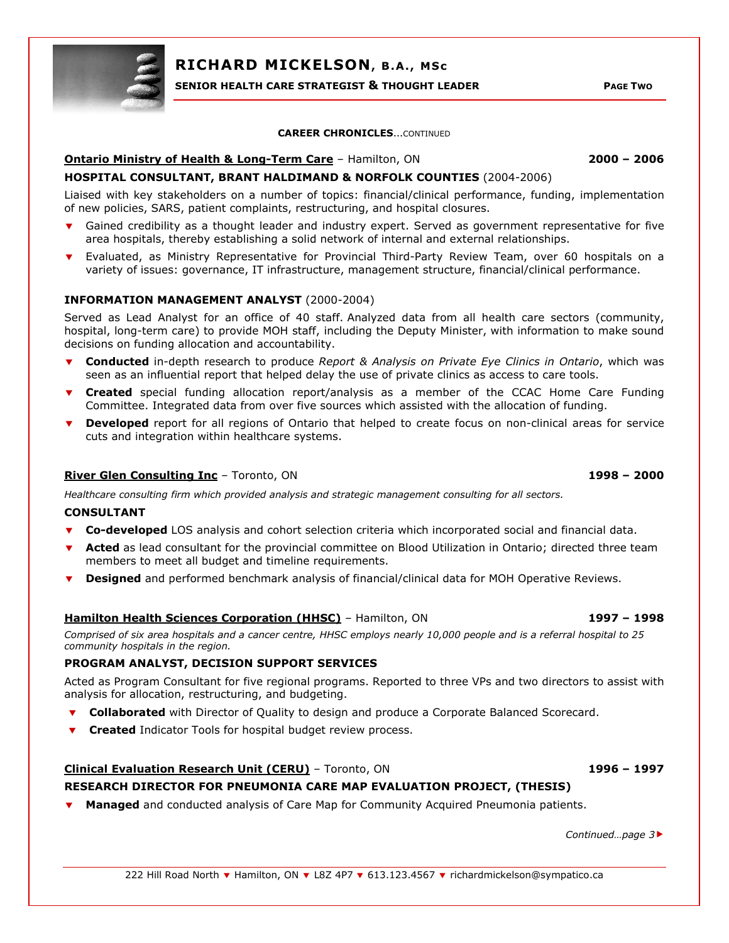

RICHARD MICKELSON, B.A., MSc

SENIOR HEALTH CARE STRATEGIST & THOUGHT LEADER **FOUR SERVICE ASSESS** PAGE TWO

#### CAREER CHRONICLES…CONTINUED

# Ontario Ministry of Health & Long-Term Care – Hamilton, ON 2000 – 2006

# HOSPITAL CONSULTANT, BRANT HALDIMAND & NORFOLK COUNTIES (2004-2006)

Liaised with key stakeholders on a number of topics: financial/clinical performance, funding, implementation of new policies, SARS, patient complaints, restructuring, and hospital closures.

- Gained credibility as a thought leader and industry expert. Served as government representative for five area hospitals, thereby establishing a solid network of internal and external relationships.
- Evaluated, as Ministry Representative for Provincial Third-Party Review Team, over 60 hospitals on a variety of issues: governance, IT infrastructure, management structure, financial/clinical performance.

## INFORMATION MANAGEMENT ANALYST (2000-2004)

Served as Lead Analyst for an office of 40 staff. Analyzed data from all health care sectors (community, hospital, long-term care) to provide MOH staff, including the Deputy Minister, with information to make sound decisions on funding allocation and accountability.

- **Conducted** in-depth research to produce Report & Analysis on Private Eye Clinics in Ontario, which was seen as an influential report that helped delay the use of private clinics as access to care tools.
- **Created** special funding allocation report/analysis as a member of the CCAC Home Care Funding Committee. Integrated data from over five sources which assisted with the allocation of funding.
- **Developed** report for all regions of Ontario that helped to create focus on non-clinical areas for service cuts and integration within healthcare systems.

## River Glen Consulting Inc – Toronto, ON 1998 – 2000 and 1998 – 2000

Healthcare consulting firm which provided analysis and strategic management consulting for all sectors.

#### CONSULTANT

- Co-developed LOS analysis and cohort selection criteria which incorporated social and financial data.
- Acted as lead consultant for the provincial committee on Blood Utilization in Ontario; directed three team members to meet all budget and timeline requirements.
- **Designed** and performed benchmark analysis of financial/clinical data for MOH Operative Reviews.

# Hamilton Health Sciences Corporation (HHSC) – Hamilton, ON 1997 – 1998

Comprised of six area hospitals and a cancer centre, HHSC employs nearly 10,000 people and is a referral hospital to 25 community hospitals in the region.

#### PROGRAM ANALYST, DECISION SUPPORT SERVICES

Acted as Program Consultant for five regional programs. Reported to three VPs and two directors to assist with analysis for allocation, restructuring, and budgeting.

- **v** Collaborated with Director of Quality to design and produce a Corporate Balanced Scorecard.
- **v** Created Indicator Tools for hospital budget review process.

# Clinical Evaluation Research Unit (CERU) – Toronto, ON 1996 – 1997 RESEARCH DIRECTOR FOR PNEUMONIA CARE MAP EVALUATION PROJECT, (THESIS)

**Managed** and conducted analysis of Care Map for Community Acquired Pneumonia patients.

Continued…page 3-